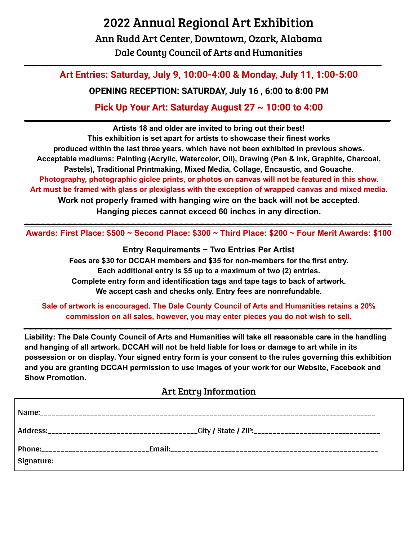## 2022 Annual Regional Art Exhibition Ann Rudd Art Center, Downtown, Ozark, Alabama

Dale County Council of Arts and Humanities \_\_\_\_\_\_\_\_\_\_\_\_\_\_\_\_\_\_\_\_\_\_\_\_\_\_\_\_\_\_\_\_\_\_\_\_\_\_\_\_\_\_\_\_\_\_\_\_\_\_\_\_\_\_\_\_\_\_\_\_\_\_\_\_\_\_\_\_\_\_\_\_\_\_\_\_\_\_\_\_\_\_

## **Art Entries: Saturday, July 9, 10:00-4:00 & Monday, July 11, 1:00-5:00**

**OPENING RECEPTION: SATURDAY, July 16 , 6:00 to 8:00 PM**

**Pick Up Your Art: Saturday August 27 ~ 10:00 to 4:00** \_\_\_\_\_\_\_\_\_\_\_\_\_\_\_\_\_\_\_\_\_\_\_\_\_\_\_\_\_\_\_\_\_\_\_\_\_\_\_\_\_\_\_\_\_\_\_\_\_\_\_\_\_\_\_\_\_\_\_\_\_\_\_\_\_\_\_\_\_\_\_\_\_\_\_\_\_\_\_\_\_\_\_\_

**Artists 18 and older are invited to bring out their best! This exhibition is set apart for artists to showcase their finest works produced within the last three years, which have not been exhibited in previous shows. Acceptable mediums: Painting (Acrylic, Watercolor, Oil), Drawing (Pen & Ink, Graphite, Charcoal, Pastels), Traditional Printmaking, Mixed Media, Collage, Encaustic, and Gouache. Photography, photographic giclee prints, or photos on canvas will not be featured in this show. Art must be framed with glass or plexiglass with the exception of wrapped canvas and mixed media. Work not properly framed with hanging wire on the back will not be accepted. Hanging pieces cannot exceed 60 inches in any direction.**

\_\_\_\_\_\_\_\_\_\_\_\_\_\_\_\_\_\_\_\_\_\_\_\_\_\_\_\_\_\_\_\_\_\_\_\_\_\_\_\_\_\_\_\_\_\_\_\_\_\_\_\_\_\_\_\_\_\_\_\_\_\_\_\_\_\_\_\_\_ **Awards: First Place: \$500 ~ Second Place: \$300 ~ Third Place: \$200 ~ Four Merit Awards: \$100**

> **Entry Requirements ~ Two Entries Per Artist Fees are \$30 for DCCAH members and \$35 for non-members for the first entry. Each additional entry is \$5 up to a maximum of two (2) entries. Complete entry form and identification tags and tape tags to back of artwork. We accept cash and checks only. Entry fees are nonrefundable.**

**Sale of artwork is encouraged. The Dale County Council of Arts and Humanities retains a 20% commission on all sales, however, you may enter pieces you do not wish to sell.**

\_\_\_\_\_\_\_\_\_\_\_\_\_\_\_\_\_\_\_\_\_\_\_\_\_\_\_\_\_\_\_\_\_\_\_\_\_\_\_\_\_\_\_\_\_\_\_\_\_\_\_\_\_\_\_\_\_\_\_\_\_\_\_\_\_\_\_\_\_

**Liability: The Dale County Council of Arts and Humanities will take all reasonable care in the handling** and hanging of all artwork. DCCAH will not be held liable for loss or damage to art while in its **possession or on display. Your signed entry form is your consent to the rules governing this exhibition and you are granting DCCAH permission to use images of your work for our Website, Facebook and Show Promotion.**

## Art Entry Information

| Signature: |  |
|------------|--|